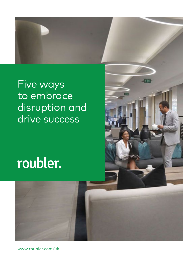

### Five ways to embrace disruption and drive success

# roubler.



[www.roubler.com](http://www.roubler.com/uk)/uk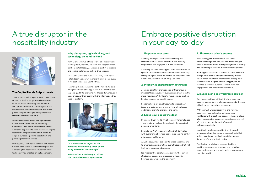# A true disruptor in the hospitality industry



#### **The Capital Hotels & Apartments**

The Capital Hotels & Apartments (The Capital Hotels) is the fastest growing hotel group in South Africa, disrupting the market in the apart-hotel sector. Offering guests and residents luxury and flexibility at affordable prices, the group has grown exponentially since their inception in 2008.

With a network of hotels and apartments across South Africa and an expanding workforce, The Capital Hotels team take a disruptive approach to their processes, helping restore the hospitality industry back to it's original purpose – putting people first and providing incredible service.

In this guide, The Capital Hotels Chief People Officer, John Skelton, shares his insights into disrupting the hospitality industry and how technology has enabled an agile approach.

*"It's impossible to adjust to the demands of tomorrow, when you're using yesterday's technology."*

*John Skelton, Chief People Officer, The Capital Hotels & Apartments*

#### **Why disruption, agile thinking, and technology go hand-in-hand**

John Skelton knows a thing or two about disrupting the hospitality industry. As the Chief People Officer at The Capital Hotels, John is an expert in managing and scaling agile teams to help drive success.

Since John joined the business in 2016, The Capital Hotels team has grown to more than 650 employees in 9+ locations across South Africa.

Technology has been intrinsic to their ability to take an agile and disruptive approach. It means they can respond quickly to changing workforce demands, and helps empower their team with the information they need to perform.



# Embrace positive disruption in your day-to-day

#### **4. Share each other's success**

Even the biggest achievements can seem underwhelming when they are not acknowledged. John is adamant about making recognition a priority and rewarding those who make disruption possible.

Sharing your success as a team cultivates a culture of high performance and provides clarity around vision. When your team understands exactly how they're contributing towards the bigger picture, they feel a sense of purpose – and that's when engagement and motivation truly soars.

#### **5. Invest in an agile workforce solution**

John points out how difficult it is to ensure your business adapts to ever-changing demands, if you're still relying on yesterday's technology.

With so much unpredictability in the industry, businesses need to be able galvanise their workforce with exceptional speed. Technology plays a key role, enabling businesses to rosters at the click of a button and notify staff of upcoming shifts automatically.

Investing in a solution provider that lives and breathes agile performance is essential, as is their ability to embrace the fluidity and fluctuating demands of the hospitality industry.

The Capital Hotels team chooses Roubler's workforce management software to help them scale the business and remain agile in a constantlychanging world.



#### **1. Empower your team**

Allowing employees to take responsibility and think for themselves will help them feel not only empowered and engaged, but also respected.

According to John, making your staff accountable for specific tasks and responsibilities can lead to fluidity throughout your entire workforce, as everyone knows what's required of them at any given time.

#### **2. Incentivise entrepreneurial thinking**

John explains that promoting an entrepreneurial mindset throughout your business can encourage the more "traditional" thinkers to move outside the box – helping you gain competitive edge.

Leaders should create structures to support new ideas and autonomous thinking from all emloyees and inspire them to challenge the norm.

#### **3. Leave your ego at the door**

In an ego-driven world, it's all too easy for employees – and leaders – to lose themselves in the pursuit of personal ambitions.

Learn to say "no" to opportunities that don't align with overarching business goals, as appealing as they might seem at the time.

As John says, it's all too easy to chase headlines and to emphasise vanity metrics over strategies that will truly drive growth and success.

It's important to carefully consider whether certain strategies, actions and processes will benefit business as a whole in the long-term.